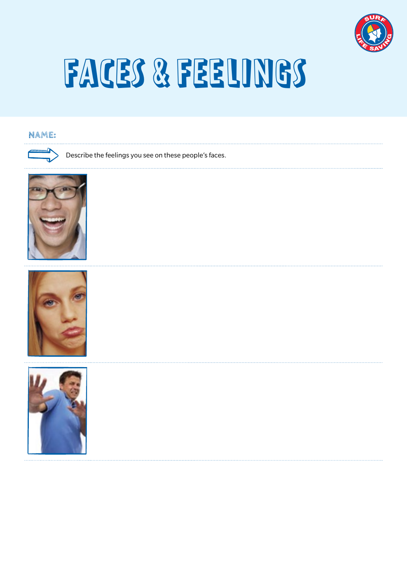

### FACES & FEELINGS

#### **NAME:**







Describe the feelings you see on these people's faces.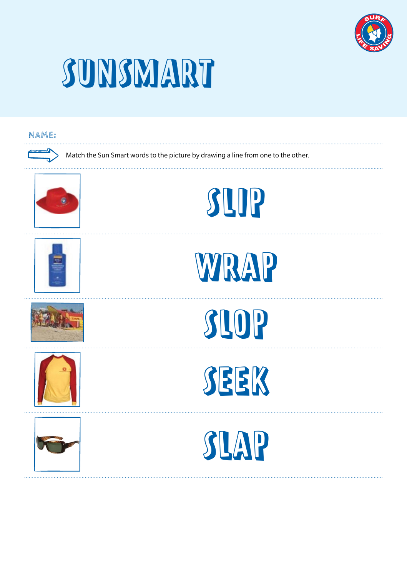

### SUNSMART

#### **NAME:**



Match the Sun Smart words to the picture by drawing a line from one to the other.













WRAP





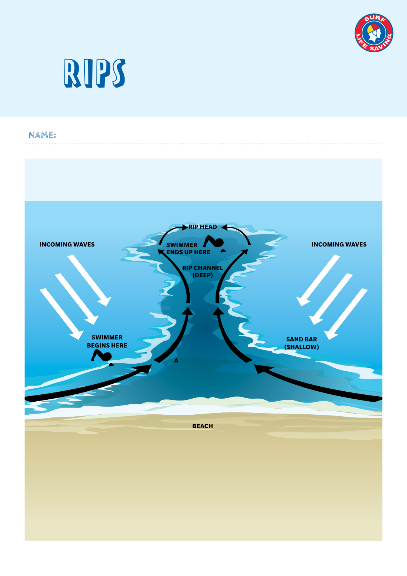



### **NAME:**

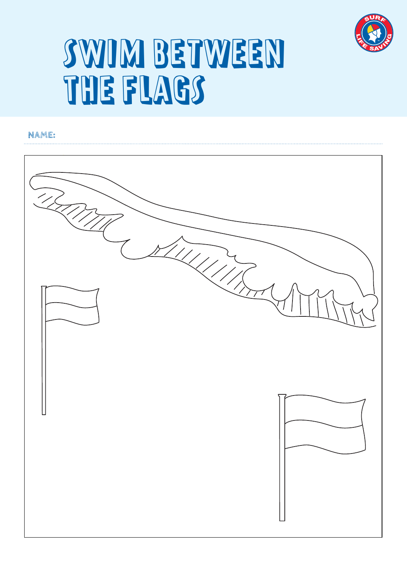

### SWIM BETWEEN THE FLAGS

#### **NAME:**

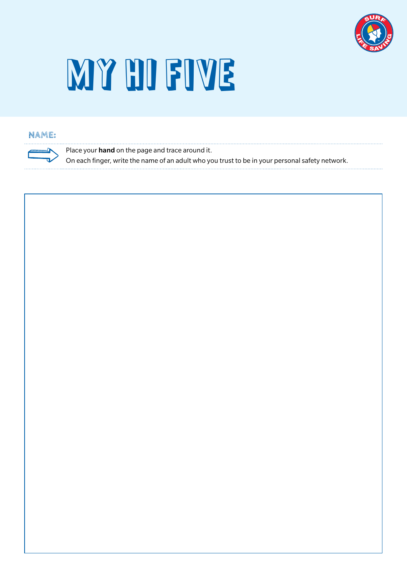

## MY HI FIVE

#### **NAME:**

Place your **hand** on the page and trace around it.

On each finger, write the name of an adult who you trust to be in your personal safety network.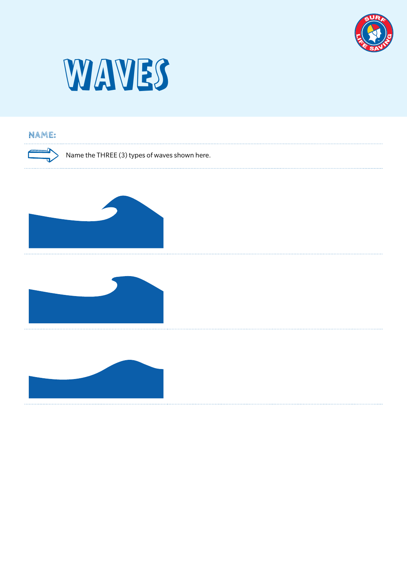



#### **NAME:**

Name the THREE (3) types of waves shown here.